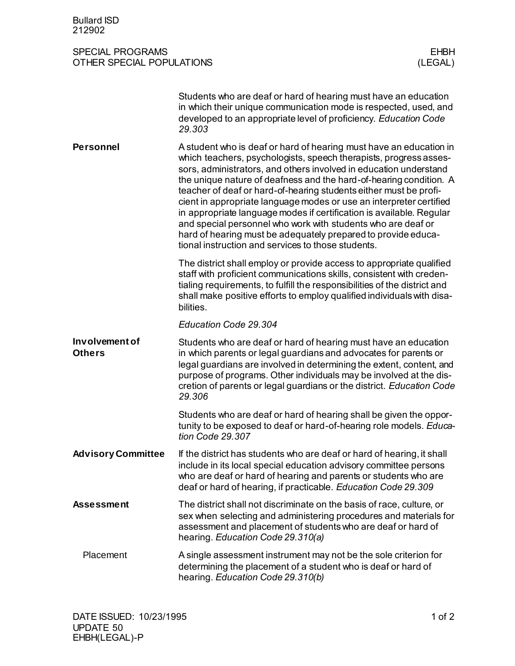| <b>Bullard ISD</b><br>212902                                    |                                                                                                                                                                                                                                                                                                                                                                                                                                                                                                                                                                                                                                                                                               |
|-----------------------------------------------------------------|-----------------------------------------------------------------------------------------------------------------------------------------------------------------------------------------------------------------------------------------------------------------------------------------------------------------------------------------------------------------------------------------------------------------------------------------------------------------------------------------------------------------------------------------------------------------------------------------------------------------------------------------------------------------------------------------------|
| <b>SPECIAL PROGRAMS</b><br>OTHER SPECIAL POPULATIONS<br>(LEGAL) |                                                                                                                                                                                                                                                                                                                                                                                                                                                                                                                                                                                                                                                                                               |
|                                                                 | Students who are deaf or hard of hearing must have an education<br>in which their unique communication mode is respected, used, and<br>developed to an appropriate level of proficiency. Education Code<br>29.303                                                                                                                                                                                                                                                                                                                                                                                                                                                                             |
| <b>Personnel</b>                                                | A student who is deaf or hard of hearing must have an education in<br>which teachers, psychologists, speech therapists, progress asses-<br>sors, administrators, and others involved in education understand<br>the unique nature of deafness and the hard-of-hearing condition. A<br>teacher of deaf or hard-of-hearing students either must be profi-<br>cient in appropriate language modes or use an interpreter certified<br>in appropriate language modes if certification is available. Regular<br>and special personnel who work with students who are deaf or<br>hard of hearing must be adequately prepared to provide educa-<br>tional instruction and services to those students. |
|                                                                 | The district shall employ or provide access to appropriate qualified<br>staff with proficient communications skills, consistent with creden-<br>tialing requirements, to fulfill the responsibilities of the district and<br>shall make positive efforts to employ qualified individuals with disa-<br>bilities.                                                                                                                                                                                                                                                                                                                                                                              |
|                                                                 | Education Code 29.304                                                                                                                                                                                                                                                                                                                                                                                                                                                                                                                                                                                                                                                                         |
| Involvement of<br><b>Others</b>                                 | Students who are deaf or hard of hearing must have an education<br>in which parents or legal guardians and advocates for parents or<br>legal guardians are involved in determining the extent, content, and<br>purpose of programs. Other individuals may be involved at the dis-<br>cretion of parents or legal guardians or the district. Education Code<br>29.306                                                                                                                                                                                                                                                                                                                          |
|                                                                 | Students who are deaf or hard of hearing shall be given the oppor-<br>tunity to be exposed to deaf or hard-of-hearing role models. Educa-<br>tion Code 29.307                                                                                                                                                                                                                                                                                                                                                                                                                                                                                                                                 |
| <b>Advisory Committee</b>                                       | If the district has students who are deaf or hard of hearing, it shall<br>include in its local special education advisory committee persons<br>who are deaf or hard of hearing and parents or students who are<br>deaf or hard of hearing, if practicable. Education Code 29.309                                                                                                                                                                                                                                                                                                                                                                                                              |
| <b>Assessment</b>                                               | The district shall not discriminate on the basis of race, culture, or<br>sex when selecting and administering procedures and materials for<br>assessment and placement of students who are deaf or hard of<br>hearing. Education Code 29.310(a)                                                                                                                                                                                                                                                                                                                                                                                                                                               |
| Placement                                                       | A single assessment instrument may not be the sole criterion for<br>determining the placement of a student who is deaf or hard of<br>hearing. Education Code 29.310(b)                                                                                                                                                                                                                                                                                                                                                                                                                                                                                                                        |